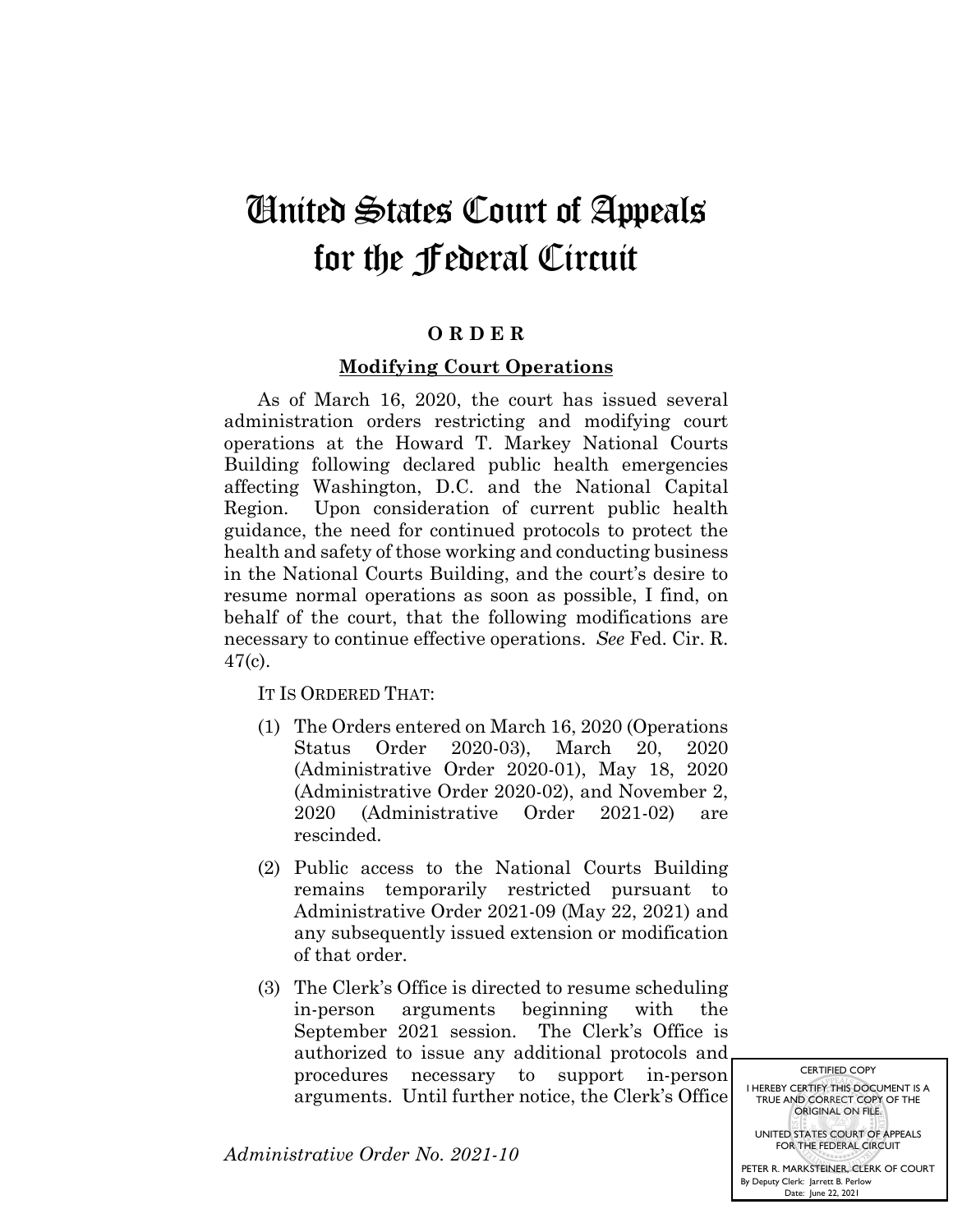## United States Court of Appeals for the Federal Circuit

## **O R D E R**

## **Modifying Court Operations**

As of March 16, 2020, the court has issued several administration orders restricting and modifying court operations at the Howard T. Markey National Courts Building following declared public health emergencies affecting Washington, D.C. and the National Capital Region. Upon consideration of current public health guidance, the need for continued protocols to protect the health and safety of those working and conducting business in the National Courts Building, and the court's desire to resume normal operations as soon as possible, I find, on behalf of the court, that the following modifications are necessary to continue effective operations. *See* Fed. Cir. R. 47(c).

IT IS ORDERED THAT:

- (1) The Orders entered on March 16, 2020 (Operations Status Order 2020-03), March 20, 2020 (Administrative Order 2020-01), May 18, 2020 (Administrative Order 2020-02), and November 2, 2020 (Administrative Order 2021-02) are rescinded.
- (2) Public access to the National Courts Building remains temporarily restricted pursuant to Administrative Order 2021-09 (May 22, 2021) and any subsequently issued extension or modification of that order.
- (3) The Clerk's Office is directed to resume scheduling in-person arguments beginning with the September 2021 session. The Clerk's Office is authorized to issue any additional protocols and procedures necessary to support in-person arguments. Until further notice, the Clerk's Office

*Administrative Order No. 2021-10*

CERTIFIED COPY I HEREBY CERTIFY THIS DOCUMENT IS A TRUE AND CORRECT COPY OF THE ORIGINAL ON FILE. UNITED STATES COURT OF APPEALS FOR THE FEDERAL CIRCUIT PETER R. MARKSTEINER, CLERK OF COURT

By Deputy Clerk: Date: Jarrett B. Perlow June 22, 2021